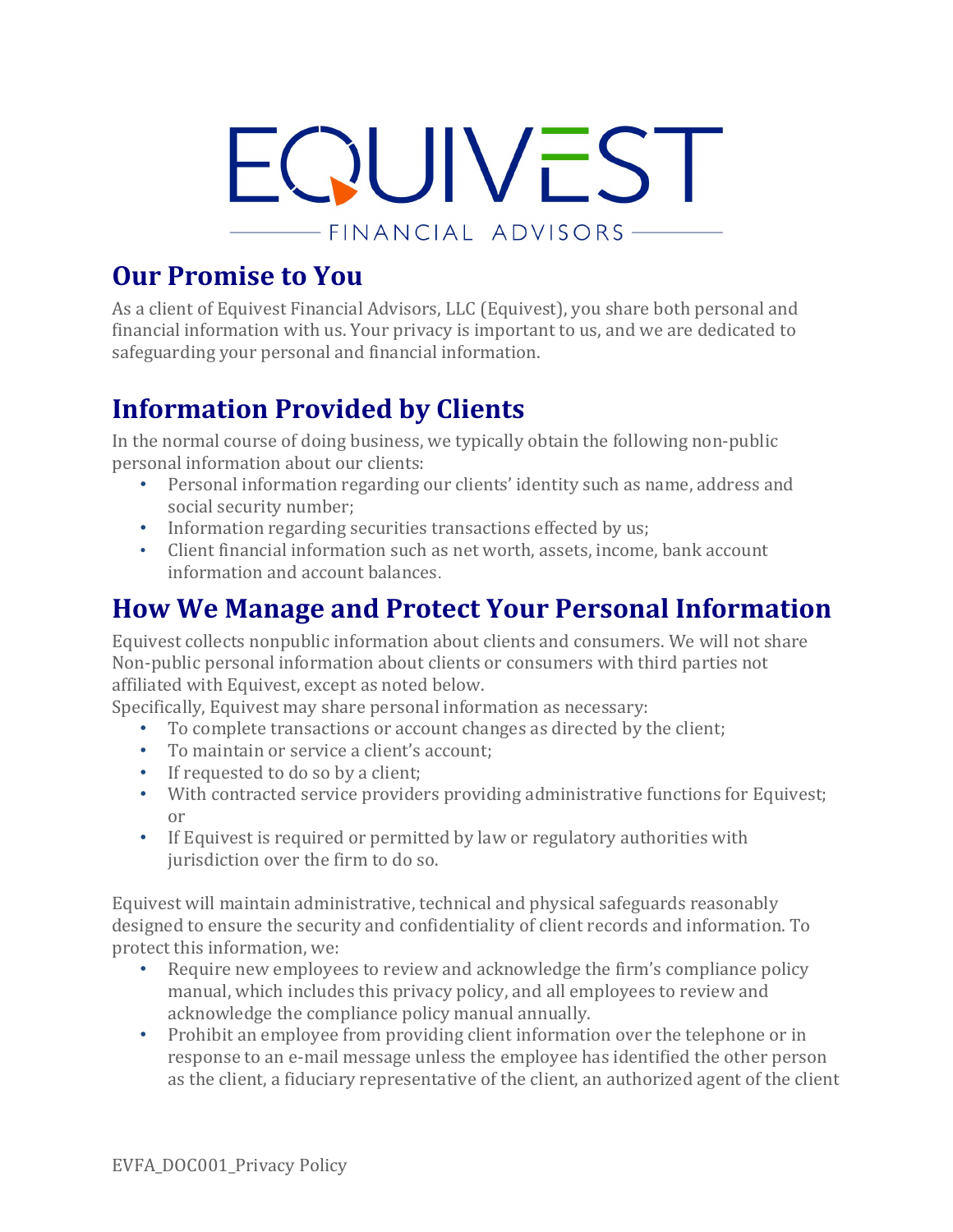

### **Our Promise to You**

As a client of Equivest Financial Advisors, LLC (Equivest), you share both personal and financial information with us. Your privacy is important to us, and we are dedicated to safeguarding your personal and financial information.

# **Information Provided by Clients**

In the normal course of doing business, we typically obtain the following non-public personal information about our clients:

- Personal information regarding our clients' identity such as name, address and social security number;
- Information regarding securities transactions effected by us;
- Client financial information such as net worth, assets, income, bank account information and account balances.

# **How We Manage and Protect Your Personal Information**

Equivest collects nonpublic information about clients and consumers. We will not share Non-public personal information about clients or consumers with third parties not affiliated with Equivest, except as noted below.

Specifically, Equivest may share personal information as necessary:

- To complete transactions or account changes as directed by the client;
- To maintain or service a client's account;
- If requested to do so by a client:
- With contracted service providers providing administrative functions for Equivest; or
- If Equivest is required or permitted by law or regulatory authorities with jurisdiction over the firm to do so.

Equivest will maintain administrative, technical and physical safeguards reasonably designed to ensure the security and confidentiality of client records and information. To protect this information, we:

- Require new employees to review and acknowledge the firm's compliance policy manual, which includes this privacy policy, and all employees to review and acknowledge the compliance policy manual annually.
- Prohibit an employee from providing client information over the telephone or in response to an e-mail message unless the employee has identified the other person as the client, a fiduciary representative of the client, an authorized agent of the client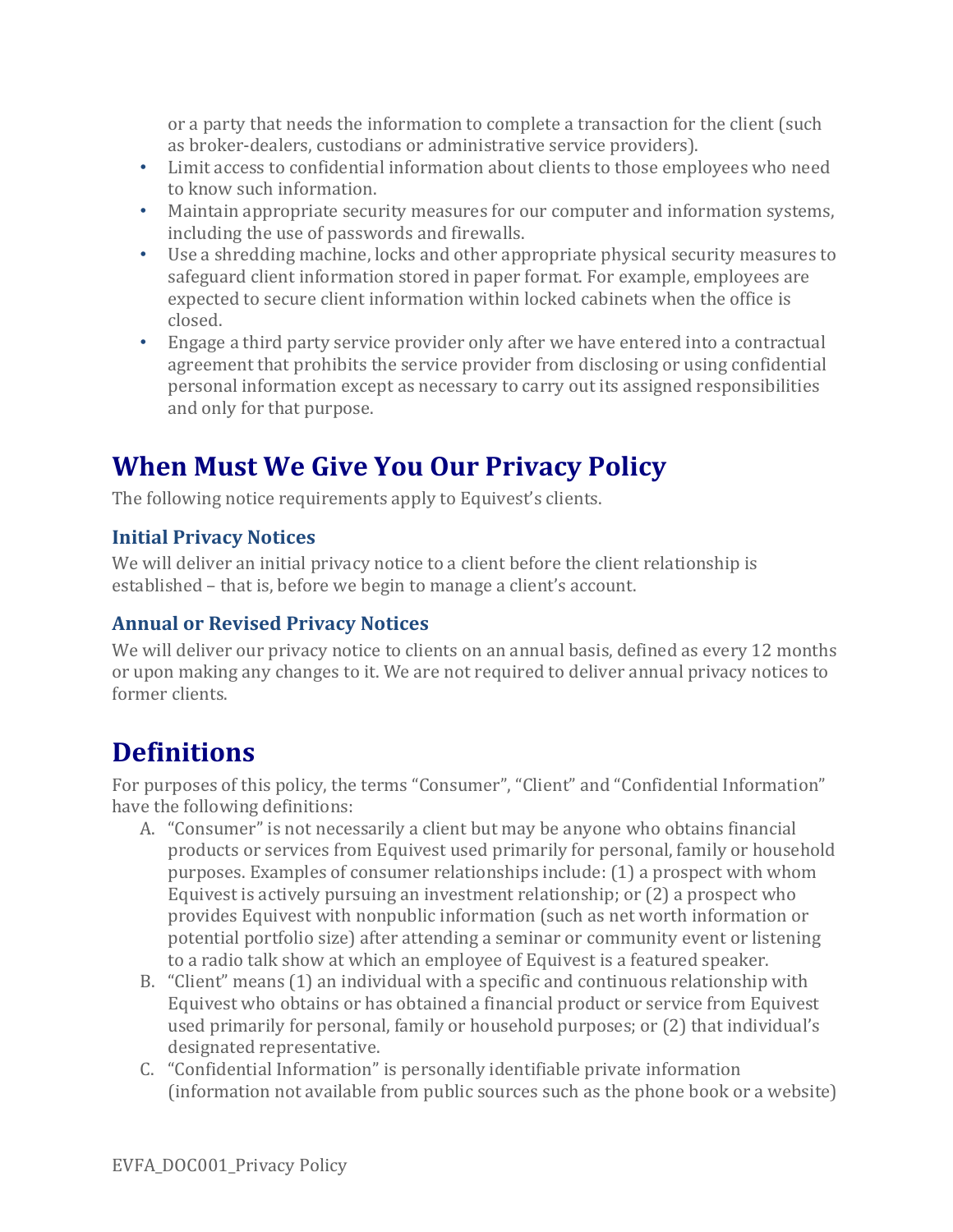or a party that needs the information to complete a transaction for the client (such as broker-dealers, custodians or administrative service providers).

- Limit access to confidential information about clients to those employees who need to know such information.
- Maintain appropriate security measures for our computer and information systems, including the use of passwords and firewalls.
- Use a shredding machine, locks and other appropriate physical security measures to safeguard client information stored in paper format. For example, employees are expected to secure client information within locked cabinets when the office is closed.
- Engage a third party service provider only after we have entered into a contractual agreement that prohibits the service provider from disclosing or using confidential personal information except as necessary to carry out its assigned responsibilities and only for that purpose.

# **When Must We Give You Our Privacy Policy**

The following notice requirements apply to Equivest's clients.

#### **Initial Privacy Notices**

We will deliver an initial privacy notice to a client before the client relationship is established – that is, before we begin to manage a client's account.

### **Annual or Revised Privacy Notices**

We will deliver our privacy notice to clients on an annual basis, defined as every 12 months or upon making any changes to it. We are not required to deliver annual privacy notices to former clients.

### **Definitions**

For purposes of this policy, the terms "Consumer", "Client" and "Confidential Information" have the following definitions:

- A. "Consumer" is not necessarily a client but may be anyone who obtains financial products or services from Equivest used primarily for personal, family or household purposes. Examples of consumer relationships include: (1) a prospect with whom Equivest is actively pursuing an investment relationship; or (2) a prospect who provides Equivest with nonpublic information (such as net worth information or potential portfolio size) after attending a seminar or community event or listening to a radio talk show at which an employee of Equivest is a featured speaker.
- B. "Client" means (1) an individual with a specific and continuous relationship with Equivest who obtains or has obtained a financial product or service from Equivest used primarily for personal, family or household purposes; or (2) that individual's designated representative.
- C. "Confidential Information" is personally identifiable private information (information not available from public sources such as the phone book or a website)